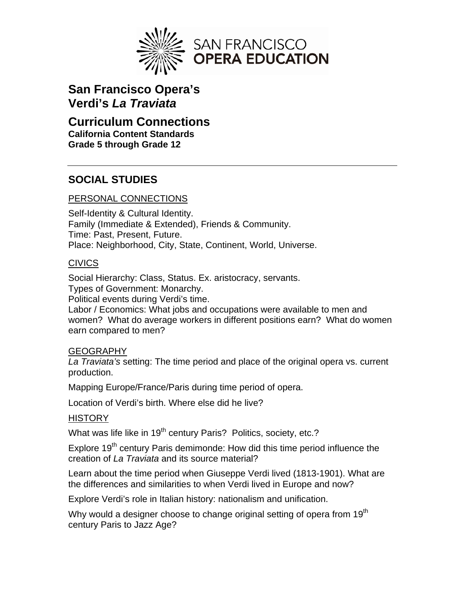

# **San Francisco Opera's Verdi's** *La Traviata*

## **Curriculum Connections California Content Standards Grade 5 through Grade 12**

# **SOCIAL STUDIES**

## PERSONAL CONNECTIONS

Self-Identity & Cultural Identity. Family (Immediate & Extended), Friends & Community. Time: Past, Present, Future. Place: Neighborhood, City, State, Continent, World, Universe.

#### **CIVICS**

Social Hierarchy: Class, Status. Ex. aristocracy, servants. Types of Government: Monarchy.

Political events during Verdi's time.

Labor / Economics: What jobs and occupations were available to men and women? What do average workers in different positions earn? What do women earn compared to men?

#### GEOGRAPHY

*La Traviata's* setting: The time period and place of the original opera vs. current production.

Mapping Europe/France/Paris during time period of opera.

Location of Verdi's birth. Where else did he live?

#### **HISTORY**

What was life like in 19<sup>th</sup> century Paris? Politics, society, etc.?

Explore 19<sup>th</sup> century Paris demimonde: How did this time period influence the creation of *La Traviata* and its source material?

Learn about the time period when Giuseppe Verdi lived (1813-1901). What are the differences and similarities to when Verdi lived in Europe and now?

Explore Verdi's role in Italian history: nationalism and unification.

Why would a designer choose to change original setting of opera from 19<sup>th</sup> century Paris to Jazz Age?